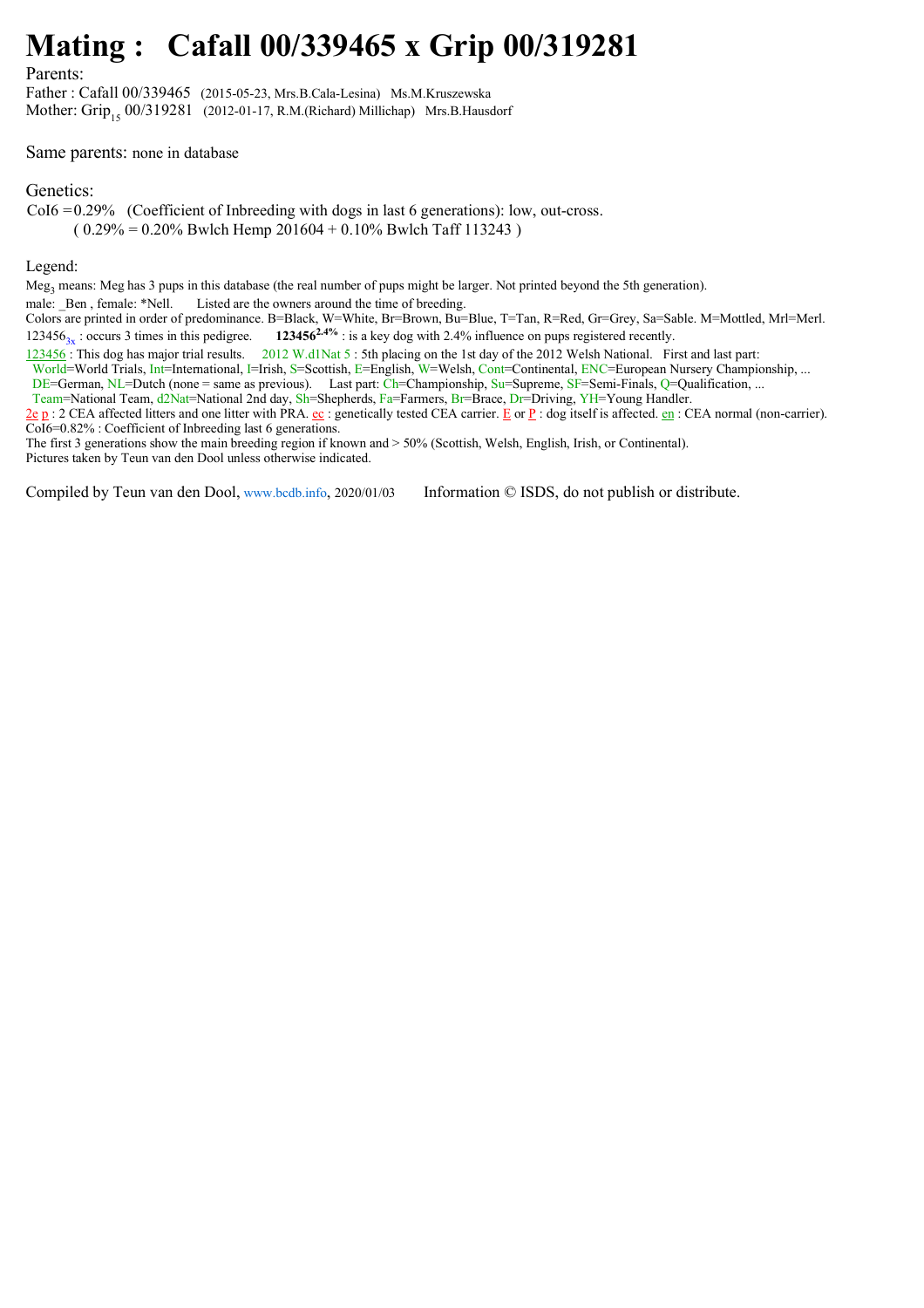## **Mating : Cafall 00/339465 x Grip 00/319281**

Parents:

Father : Cafall 00/339465 (2015-05-23, Mrs.B.Cala-Lesina) Ms.M.Kruszewska Mother: Grip<sub>15</sub> 00/319281 (2012-01-17, R.M.(Richard) Millichap) Mrs.B.Hausdorf

## Same parents: none in database

## Genetics:

CoI6 = 0.29% (Coefficient of Inbreeding with dogs in last 6 generations): low, out-cross.

 $(0.29\% = 0.20\%$  Bwlch Hemp 201604 + 0.10% Bwlch Taff 113243)

## Legend:

Meg<sub>3</sub> means: Meg has 3 pups in this database (the real number of pups might be larger. Not printed beyond the 5th generation).

male: Ben, female: \*Nell. Listed are the owners around the time of breeding.

Colors are printed in order of predominance. B=Black, W=White, Br=Brown, Bu=Blue, T=Tan, R=Red, Gr=Grey, Sa=Sable. M=Mottled, Mrl=Merl. 123456<sub>3x</sub> : occurs 3 times in this pedigree. **123456<sup>2.4%</sup>** : is a key dog with 2.4% influence on pups registered recently.

123456 : This dog has major trial results. 2012 W.d1Nat 5 : 5th placing on the 1st day of the 2012 Welsh National. First and last part:

World=World Trials, Int=International, I=Irish, S=Scottish, E=English, W=Welsh, Cont=Continental, ENC=European Nursery Championship, ...

DE=German, NL=Dutch (none = same as previous). Last part: Ch=Championship, Su=Supreme, SF=Semi-Finals, Q=Qualification, ...

Team=National Team, d2Nat=National 2nd day, Sh=Shepherds, Fa=Farmers, Br=Brace, Dr=Driving, YH=Young Handler.

 $\underline{2e}$  p : 2 CEA affected litters and one litter with PRA.  $\underline{e}$ : genetically tested CEA carrier. E or P : dog itself is affected.  $\underline{e}$  cn: CEA normal (non-carrier). CoI6=0.82% : Coefficient of Inbreeding last 6 generations.

The first 3 generations show the main breeding region if known and > 50% (Scottish, Welsh, English, Irish, or Continental). Pictures taken by Teun van den Dool unless otherwise indicated.

Compiled by Teun van den Dool, www.bcdb.info, 2020/01/03 Information © ISDS, do not publish or distribute.